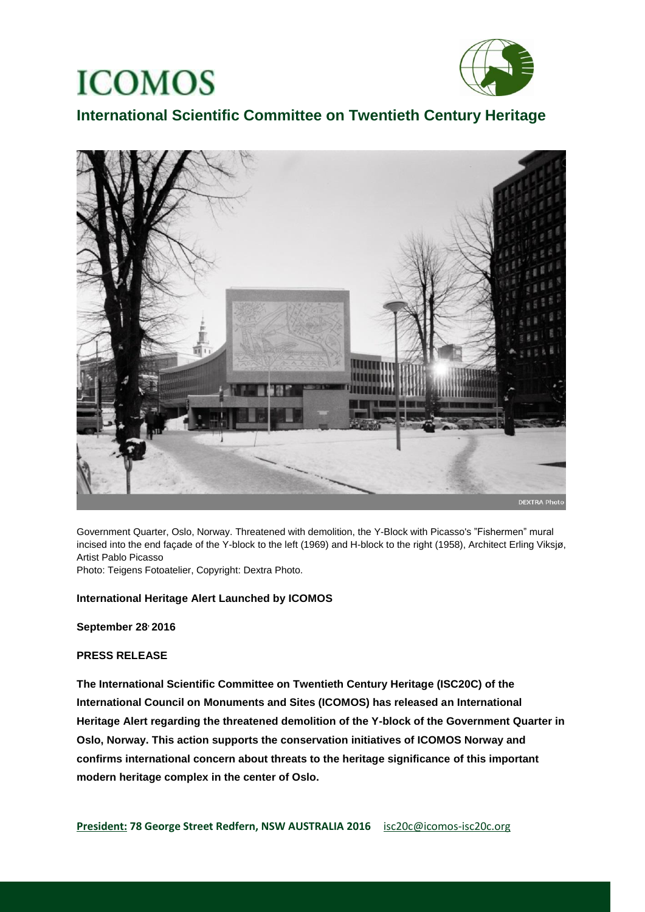

## **International Scientific Committee on Twentieth Century Heritage**



Government Quarter, Oslo, Norway. Threatened with demolition, the Y-Block with Picasso's "Fishermen" mural incised into the end façade of the Y-block to the left (1969) and H-block to the right (1958), Architect Erling Viksjø, Artist Pablo Picasso

Photo: Teigens Fotoatelier, Copyright: Dextra Photo.

### **International Heritage Alert Launched by ICOMOS**

**September 28, 2016**

#### **PRESS RELEASE**

**The International Scientific Committee on Twentieth Century Heritage (ISC20C) of the International Council on Monuments and Sites (ICOMOS) has released an International Heritage Alert regarding the threatened demolition of the Y-block of the Government Quarter in Oslo, Norway. This action supports the conservation initiatives of ICOMOS Norway and confirms international concern about threats to the heritage significance of this important modern heritage complex in the center of Oslo.**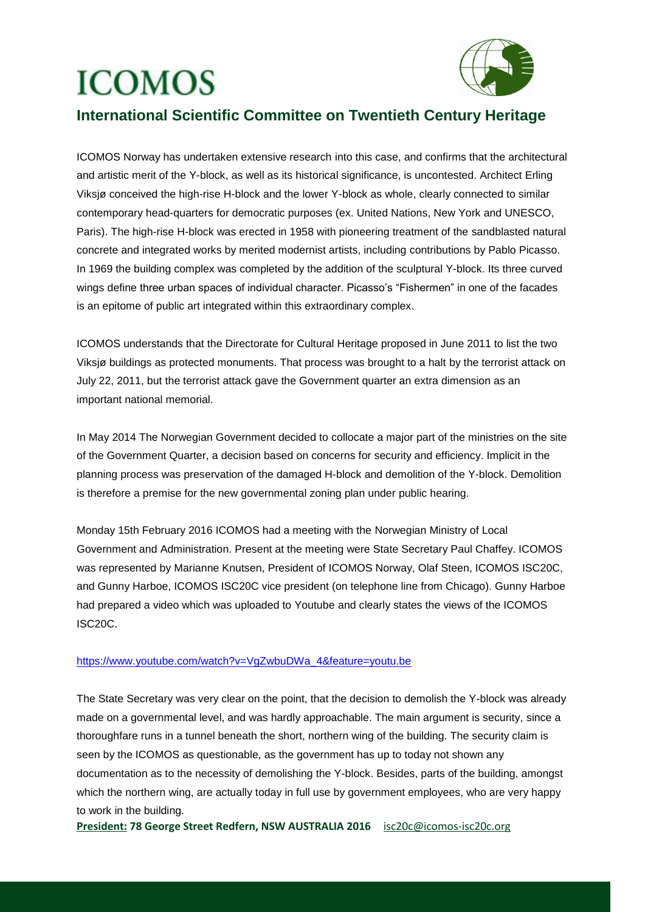

### **International Scientific Committee on Twentieth Century Heritage**

ICOMOS Norway has undertaken extensive research into this case, and confirms that the architectural and artistic merit of the Y-block, as well as its historical significance, is uncontested. Architect Erling Viksjø conceived the high-rise H-block and the lower Y-block as whole, clearly connected to similar contemporary head-quarters for democratic purposes (ex. United Nations, New York and UNESCO, Paris). The high-rise H-block was erected in 1958 with pioneering treatment of the sandblasted natural concrete and integrated works by merited modernist artists, including contributions by Pablo Picasso. In 1969 the building complex was completed by the addition of the sculptural Y-block. Its three curved wings define three urban spaces of individual character. Picasso's "Fishermen" in one of the facades is an epitome of public art integrated within this extraordinary complex.

ICOMOS understands that the Directorate for Cultural Heritage proposed in June 2011 to list the two Viksjø buildings as protected monuments. That process was brought to a halt by the terrorist attack on July 22, 2011, but the terrorist attack gave the Government quarter an extra dimension as an important national memorial.

In May 2014 The Norwegian Government decided to collocate a major part of the ministries on the site of the Government Quarter, a decision based on concerns for security and efficiency. Implicit in the planning process was preservation of the damaged H-block and demolition of the Y-block. Demolition is therefore a premise for the new governmental zoning plan under public hearing.

Monday 15th February 2016 ICOMOS had a meeting with the Norwegian Ministry of Local Government and Administration. Present at the meeting were State Secretary Paul Chaffey. ICOMOS was represented by Marianne Knutsen, President of ICOMOS Norway, Olaf Steen, ICOMOS ISC20C, and Gunny Harboe, ICOMOS ISC20C vice president (on telephone line from Chicago). Gunny Harboe had prepared a video which was uploaded to Youtube and clearly states the views of the ICOMOS ISC20C.

### [https://www.youtube.com/watch?v=VgZwbuDWa\\_4&feature=youtu.be](https://www.youtube.com/watch?v=VgZwbuDWa_4&feature=youtu.be)

The State Secretary was very clear on the point, that the decision to demolish the Y-block was already made on a governmental level, and was hardly approachable. The main argument is security, since a thoroughfare runs in a tunnel beneath the short, northern wing of the building. The security claim is seen by the ICOMOS as questionable, as the government has up to today not shown any documentation as to the necessity of demolishing the Y-block. Besides, parts of the building, amongst which the northern wing, are actually today in full use by government employees, who are very happy to work in the building.

**President: 78 George Street Redfern, NSW AUSTRALIA 2016** [isc20c@icomos-isc20c.org](mailto:isc20c@icomos-isc20c.org)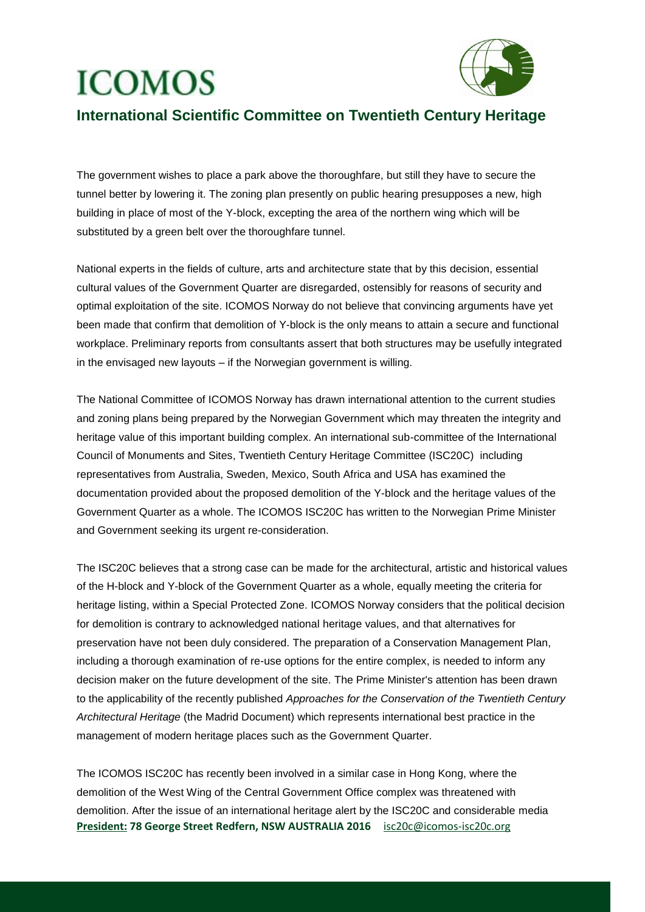

### **International Scientific Committee on Twentieth Century Heritage**

The government wishes to place a park above the thoroughfare, but still they have to secure the tunnel better by lowering it. The zoning plan presently on public hearing presupposes a new, high building in place of most of the Y-block, excepting the area of the northern wing which will be substituted by a green belt over the thoroughfare tunnel.

National experts in the fields of culture, arts and architecture state that by this decision, essential cultural values of the Government Quarter are disregarded, ostensibly for reasons of security and optimal exploitation of the site. ICOMOS Norway do not believe that convincing arguments have yet been made that confirm that demolition of Y-block is the only means to attain a secure and functional workplace. Preliminary reports from consultants assert that both structures may be usefully integrated in the envisaged new layouts – if the Norwegian government is willing.

The National Committee of ICOMOS Norway has drawn international attention to the current studies and zoning plans being prepared by the Norwegian Government which may threaten the integrity and heritage value of this important building complex. An international sub-committee of the International Council of Monuments and Sites, Twentieth Century Heritage Committee (ISC20C) including representatives from Australia, Sweden, Mexico, South Africa and USA has examined the documentation provided about the proposed demolition of the Y-block and the heritage values of the Government Quarter as a whole. The ICOMOS ISC20C has written to the Norwegian Prime Minister and Government seeking its urgent re-consideration.

The ISC20C believes that a strong case can be made for the architectural, artistic and historical values of the H-block and Y-block of the Government Quarter as a whole, equally meeting the criteria for heritage listing, within a Special Protected Zone. ICOMOS Norway considers that the political decision for demolition is contrary to acknowledged national heritage values, and that alternatives for preservation have not been duly considered. The preparation of a Conservation Management Plan, including a thorough examination of re-use options for the entire complex, is needed to inform any decision maker on the future development of the site. The Prime Minister's attention has been drawn to the applicability of the recently published *Approaches for the Conservation of the Twentieth Century Architectural Heritage* (the Madrid Document) which represents international best practice in the management of modern heritage places such as the Government Quarter.

**President: 78 George Street Redfern, NSW AUSTRALIA 2016** [isc20c@icomos-isc20c.org](mailto:isc20c@icomos-isc20c.org) The ICOMOS ISC20C has recently been involved in a similar case in Hong Kong, where the demolition of the West Wing of the Central Government Office complex was threatened with demolition. After the issue of an international heritage alert by the ISC20C and considerable media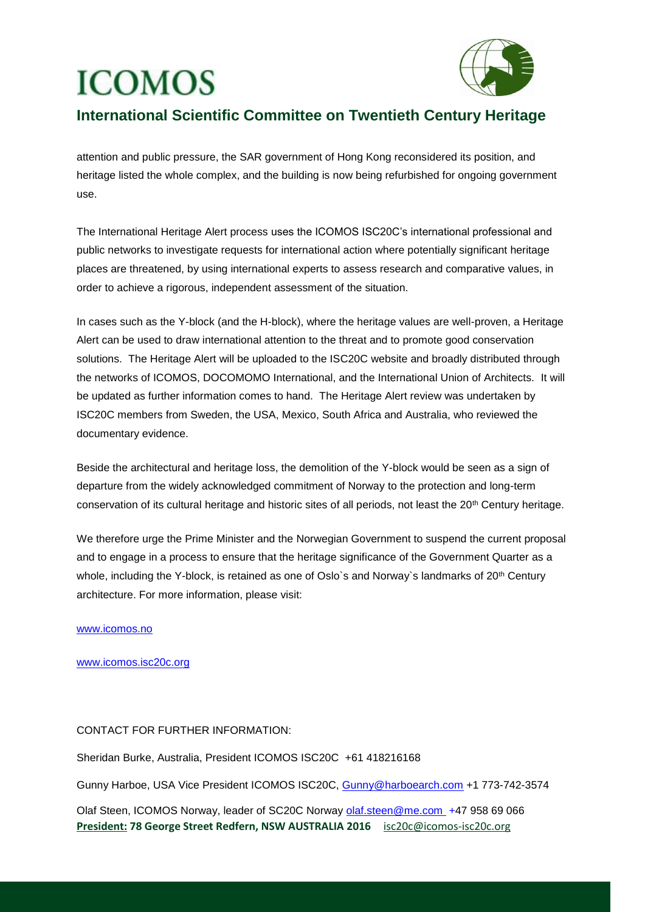

## **International Scientific Committee on Twentieth Century Heritage**

attention and public pressure, the SAR government of Hong Kong reconsidered its position, and heritage listed the whole complex, and the building is now being refurbished for ongoing government use.

The International Heritage Alert process uses the ICOMOS ISC20C's international professional and public networks to investigate requests for international action where potentially significant heritage places are threatened, by using international experts to assess research and comparative values, in order to achieve a rigorous, independent assessment of the situation.

In cases such as the Y-block (and the H-block), where the heritage values are well-proven, a Heritage Alert can be used to draw international attention to the threat and to promote good conservation solutions. The Heritage Alert will be uploaded to the ISC20C website and broadly distributed through the networks of ICOMOS, DOCOMOMO International, and the International Union of Architects. It will be updated as further information comes to hand. The Heritage Alert review was undertaken by ISC20C members from Sweden, the USA, Mexico, South Africa and Australia, who reviewed the documentary evidence.

Beside the architectural and heritage loss, the demolition of the Y-block would be seen as a sign of departure from the widely acknowledged commitment of Norway to the protection and long-term conservation of its cultural heritage and historic sites of all periods, not least the 20th Century heritage.

We therefore urge the Prime Minister and the Norwegian Government to suspend the current proposal and to engage in a process to ensure that the heritage significance of the Government Quarter as a whole, including the Y-block, is retained as one of Oslo's and Norway's landmarks of 20<sup>th</sup> Century architecture. For more information, please visit:

### www.icomos.no

### [www.icomos.isc20c.org](http://www.icomos.isc20c.org/)

### CONTACT FOR FURTHER INFORMATION:

Sheridan Burke, Australia, President ICOMOS ISC20C +61 418216168

Gunny Harboe, USA Vice President ICOMOS ISC20C, [Gunny@harboearch.com](mailto:Gunny@harboearch.com) +1 773-742-3574

**President: 78 George Street Redfern, NSW AUSTRALIA 2016** [isc20c@icomos-isc20c.org](mailto:isc20c@icomos-isc20c.org) Olaf Steen, ICOMOS Norway, leader of SC20C Norway [olaf.steen@me.com](mailto:olaf.steen@me.com) +47 958 69 066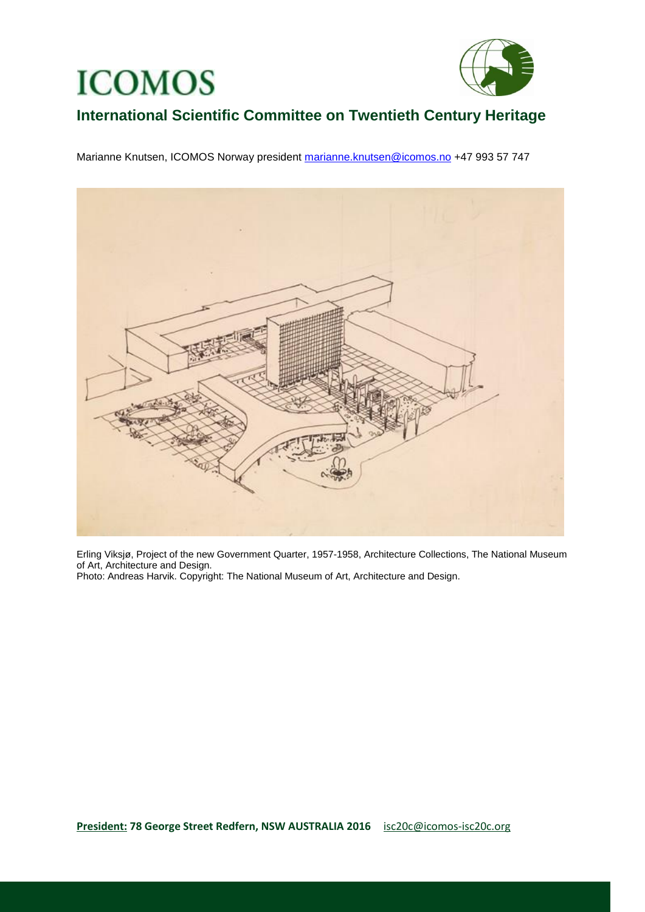

## **International Scientific Committee on Twentieth Century Heritage**

Marianne Knutsen, ICOMOS Norway president [marianne.knutsen@icomos.no](mailto:marianne.knutsen@icomos.no) +47 993 57 747



Erling Viksjø, Project of the new Government Quarter, 1957-1958, Architecture Collections, The National Museum of Art, Architecture and Design.

Photo: Andreas Harvik. Copyright: The National Museum of Art, Architecture and Design.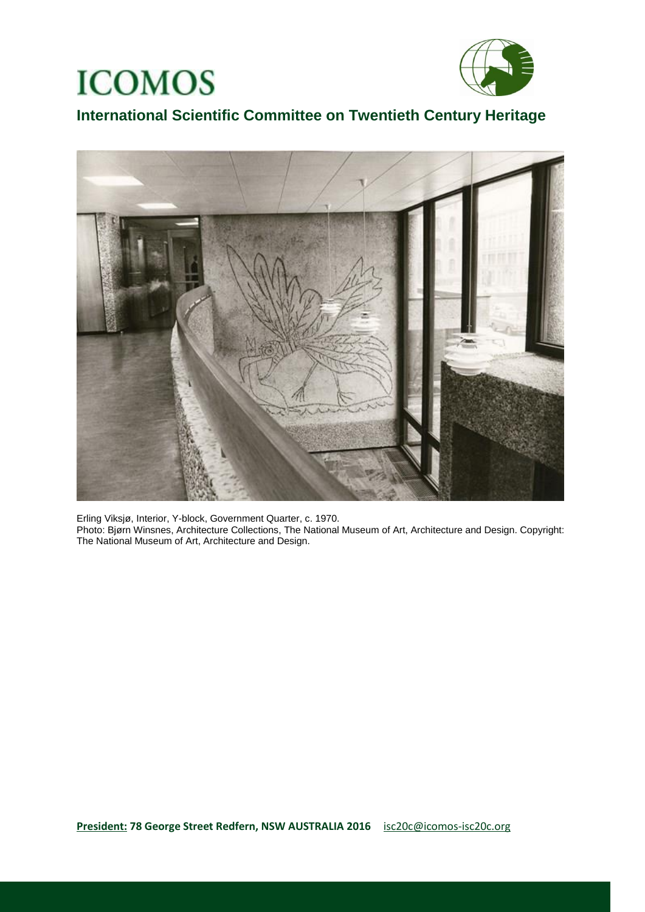

## **International Scientific Committee on Twentieth Century Heritage**



Erling Viksjø, Interior, Y-block, Government Quarter, c. 1970. Photo: Bjørn Winsnes, Architecture Collections, The National Museum of Art, Architecture and Design. Copyright: The National Museum of Art, Architecture and Design.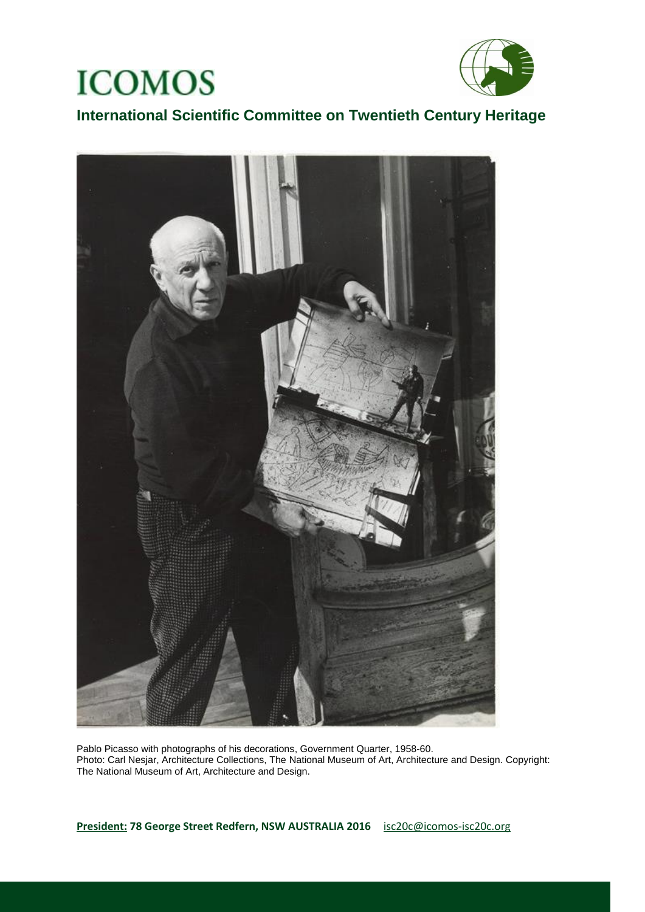



**International Scientific Committee on Twentieth Century Heritage** 



Pablo Picasso with photographs of his decorations, Government Quarter, 1958-60. Photo: Carl Nesjar, Architecture Collections, The National Museum of Art, Architecture and Design. Copyright: The National Museum of Art, Architecture and Design.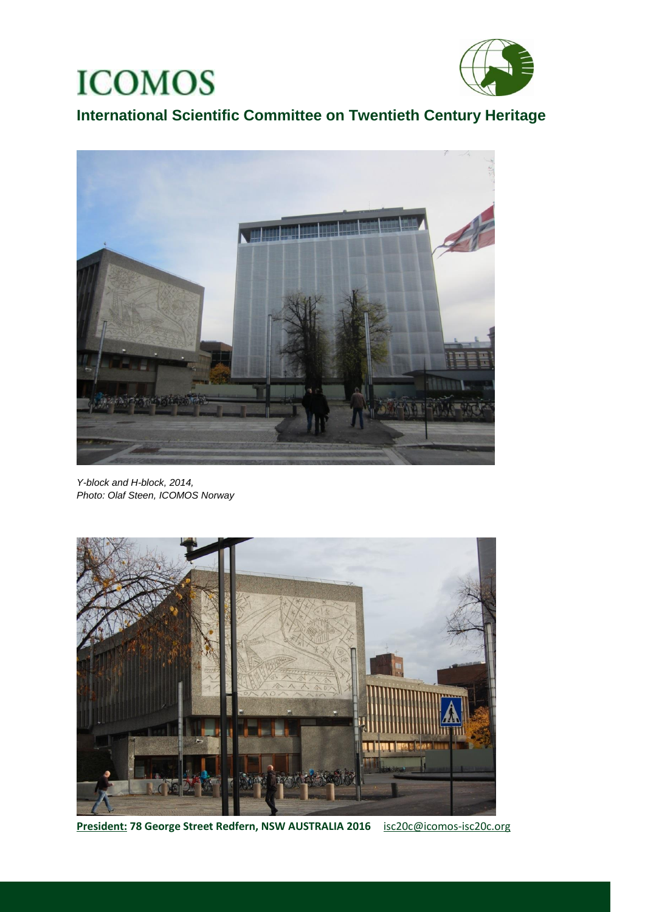

**International Scientific Committee on Twentieth Century Heritage** 



*Y-block and H-block, 2014, Photo: Olaf Steen, ICOMOS Norway*



**President: 78 George Street Redfern, NSW AUSTRALIA 2016** [isc20c@icomos-isc20c.org](mailto:isc20c@icomos-isc20c.org)